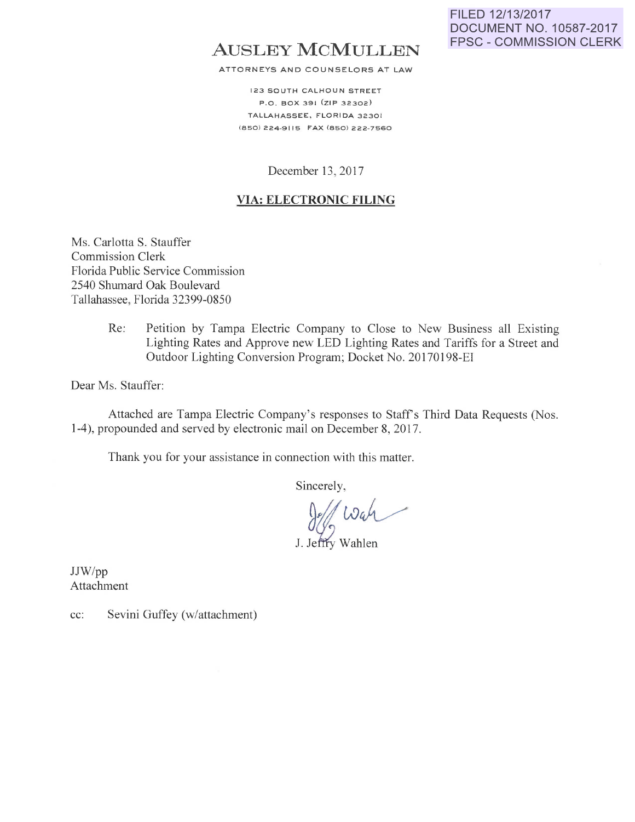# **AUSLEY MCMULLEN**

ATTORNEYS AND COUNSELORS AT LAW

123 SOUTH CALHOUN STREET P.O. BOX 391 (ZIP 32302) TALLAHASSEE, FLORIDA 32301 (850) 224-9115 FAX (850) 222-7560

December 13, 2017

#### **VIA: ELECTRONIC FILING**

Ms. Carlotta S. Stauffer Commission Clerk Florida Public Service Commission 2540 Shumard Oak Boulevard Tallahassee, Florida 32399-0850

> Re: Petition by Tampa Electric Company to Close to New Business all Existing Lighting Rates and Approve new LED Lighting Rates and Tariffs for a Street and Outdoor Lighting Conversion Program; Docket No. 20170198-El

Dear Ms. Stauffer:

Attached are Tampa Electric Company's responses to Staff's Third Data Requests (Nos. 1-4), propounded and served by electronic mail on December 8, 2017.

Thank you for your assistance in connection with this matter.

Sincerely,

Jeff Wah

JJW/pp Attachment

cc: Sevini Guffey (w/attachment)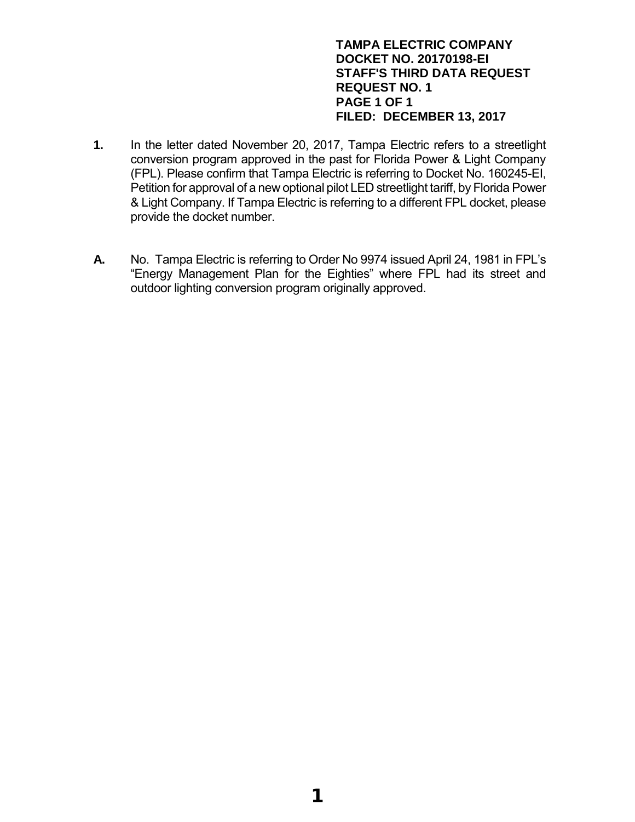# **TAMPA ELECTRIC COMPANY DOCKET NO. 20170198-EI STAFF'S THIRD DATA REQUEST REQUEST NO. 1 PAGE 1 OF 1 FILED: DECEMBER 13, 2017**

- **1.** In the letter dated November 20, 2017, Tampa Electric refers to a streetlight conversion program approved in the past for Florida Power & Light Company (FPL). Please confirm that Tampa Electric is referring to Docket No. 160245-EI, Petition for approval of a new optional pilot LED streetlight tariff, by Florida Power & Light Company. If Tampa Electric is referring to a different FPL docket, please provide the docket number.
- **A.** No. Tampa Electric is referring to Order No 9974 issued April 24, 1981 in FPL's "Energy Management Plan for the Eighties" where FPL had its street and outdoor lighting conversion program originally approved.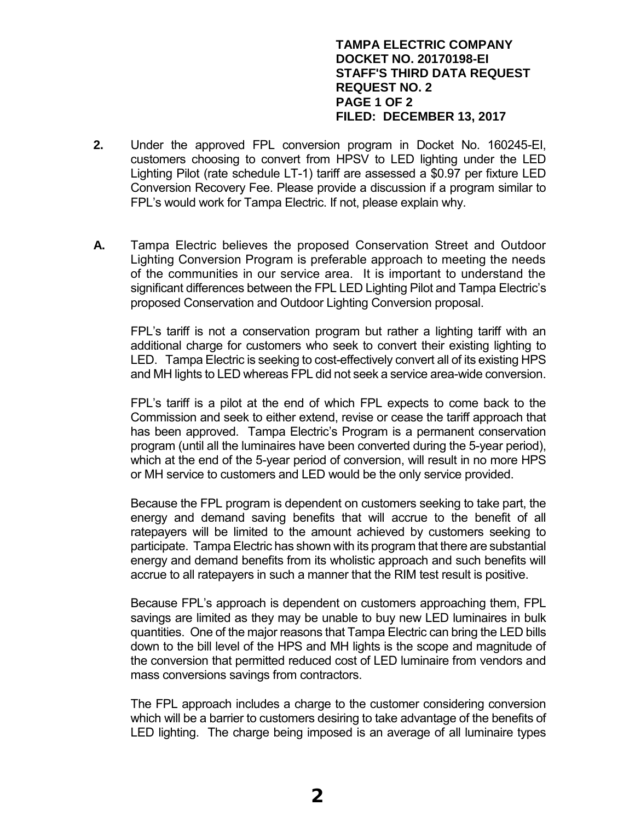# **TAMPA ELECTRIC COMPANY DOCKET NO. 20170198-EI STAFF'S THIRD DATA REQUEST REQUEST NO. 2 PAGE 1 OF 2 FILED: DECEMBER 13, 2017**

- **2.** Under the approved FPL conversion program in Docket No. 160245-EI, customers choosing to convert from HPSV to LED lighting under the LED Lighting Pilot (rate schedule LT-1) tariff are assessed a \$0.97 per fixture LED Conversion Recovery Fee. Please provide a discussion if a program similar to FPL's would work for Tampa Electric. If not, please explain why.
- **A.** Tampa Electric believes the proposed Conservation Street and Outdoor Lighting Conversion Program is preferable approach to meeting the needs of the communities in our service area. It is important to understand the significant differences between the FPL LED Lighting Pilot and Tampa Electric's proposed Conservation and Outdoor Lighting Conversion proposal.

FPL's tariff is not a conservation program but rather a lighting tariff with an additional charge for customers who seek to convert their existing lighting to LED. Tampa Electric is seeking to cost-effectively convert all of its existing HPS and MH lights to LED whereas FPL did not seek a service area-wide conversion.

FPL's tariff is a pilot at the end of which FPL expects to come back to the Commission and seek to either extend, revise or cease the tariff approach that has been approved. Tampa Electric's Program is a permanent conservation program (until all the luminaires have been converted during the 5-year period), which at the end of the 5-year period of conversion, will result in no more HPS or MH service to customers and LED would be the only service provided.

Because the FPL program is dependent on customers seeking to take part, the energy and demand saving benefits that will accrue to the benefit of all ratepayers will be limited to the amount achieved by customers seeking to participate. Tampa Electric has shown with its program that there are substantial energy and demand benefits from its wholistic approach and such benefits will accrue to all ratepayers in such a manner that the RIM test result is positive.

Because FPL's approach is dependent on customers approaching them, FPL savings are limited as they may be unable to buy new LED luminaires in bulk quantities. One of the major reasons that Tampa Electric can bring the LED bills down to the bill level of the HPS and MH lights is the scope and magnitude of the conversion that permitted reduced cost of LED luminaire from vendors and mass conversions savings from contractors.

The FPL approach includes a charge to the customer considering conversion which will be a barrier to customers desiring to take advantage of the benefits of LED lighting. The charge being imposed is an average of all luminaire types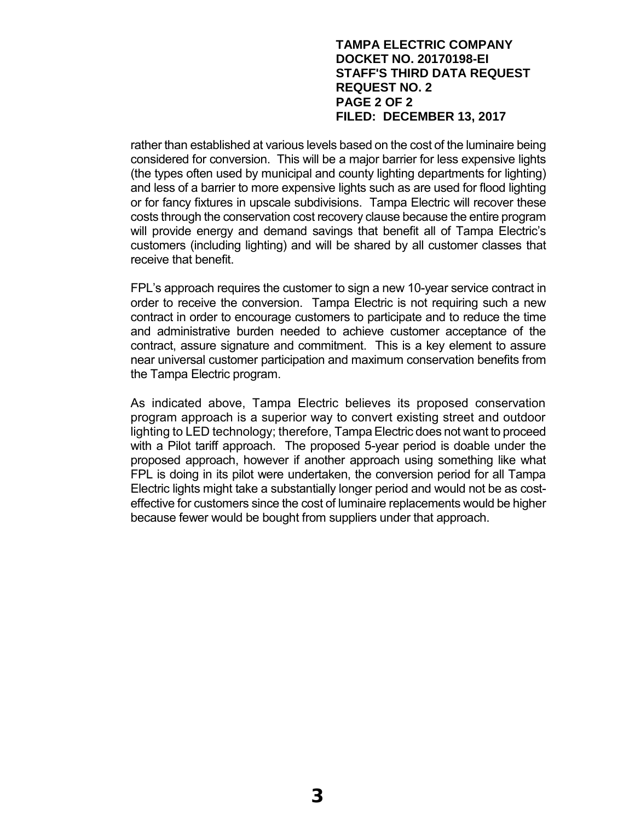# **TAMPA ELECTRIC COMPANY DOCKET NO. 20170198-EI STAFF'S THIRD DATA REQUEST REQUEST NO. 2 PAGE 2 OF 2 FILED: DECEMBER 13, 2017**

rather than established at various levels based on the cost of the luminaire being considered for conversion. This will be a major barrier for less expensive lights (the types often used by municipal and county lighting departments for lighting) and less of a barrier to more expensive lights such as are used for flood lighting or for fancy fixtures in upscale subdivisions. Tampa Electric will recover these costs through the conservation cost recovery clause because the entire program will provide energy and demand savings that benefit all of Tampa Electric's customers (including lighting) and will be shared by all customer classes that receive that benefit.

FPL's approach requires the customer to sign a new 10-year service contract in order to receive the conversion. Tampa Electric is not requiring such a new contract in order to encourage customers to participate and to reduce the time and administrative burden needed to achieve customer acceptance of the contract, assure signature and commitment. This is a key element to assure near universal customer participation and maximum conservation benefits from the Tampa Electric program.

As indicated above, Tampa Electric believes its proposed conservation program approach is a superior way to convert existing street and outdoor lighting to LED technology; therefore, Tampa Electric does not want to proceed with a Pilot tariff approach. The proposed 5-year period is doable under the proposed approach, however if another approach using something like what FPL is doing in its pilot were undertaken, the conversion period for all Tampa Electric lights might take a substantially longer period and would not be as costeffective for customers since the cost of luminaire replacements would be higher because fewer would be bought from suppliers under that approach.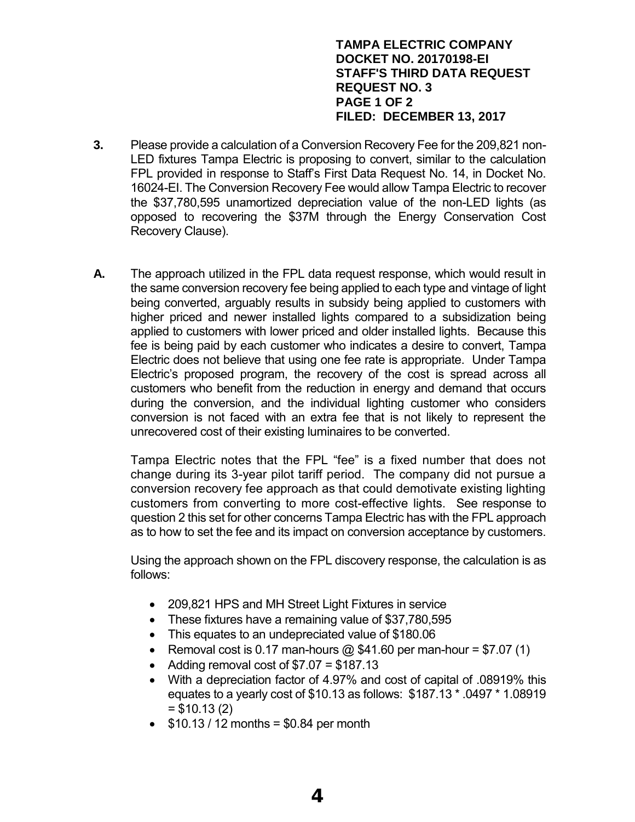# **TAMPA ELECTRIC COMPANY DOCKET NO. 20170198-EI STAFF'S THIRD DATA REQUEST REQUEST NO. 3 PAGE 1 OF 2 FILED: DECEMBER 13, 2017**

- **3.** Please provide a calculation of a Conversion Recovery Fee for the 209,821 non-LED fixtures Tampa Electric is proposing to convert, similar to the calculation FPL provided in response to Staff's First Data Request No. 14, in Docket No. 16024-EI. The Conversion Recovery Fee would allow Tampa Electric to recover the \$37,780,595 unamortized depreciation value of the non-LED lights (as opposed to recovering the \$37M through the Energy Conservation Cost Recovery Clause).
- **A.** The approach utilized in the FPL data request response, which would result in the same conversion recovery fee being applied to each type and vintage of light being converted, arguably results in subsidy being applied to customers with higher priced and newer installed lights compared to a subsidization being applied to customers with lower priced and older installed lights. Because this fee is being paid by each customer who indicates a desire to convert, Tampa Electric does not believe that using one fee rate is appropriate. Under Tampa Electric's proposed program, the recovery of the cost is spread across all customers who benefit from the reduction in energy and demand that occurs during the conversion, and the individual lighting customer who considers conversion is not faced with an extra fee that is not likely to represent the unrecovered cost of their existing luminaires to be converted.

Tampa Electric notes that the FPL "fee" is a fixed number that does not change during its 3-year pilot tariff period. The company did not pursue a conversion recovery fee approach as that could demotivate existing lighting customers from converting to more cost-effective lights. See response to question 2 this set for other concerns Tampa Electric has with the FPL approach as to how to set the fee and its impact on conversion acceptance by customers.

Using the approach shown on the FPL discovery response, the calculation is as follows:

- 209,821 HPS and MH Street Light Fixtures in service
- These fixtures have a remaining value of \$37,780,595
- This equates to an undepreciated value of \$180.06
- Removal cost is 0.17 man-hours  $\omega$  \$41.60 per man-hour = \$7.07 (1)
- Adding removal cost of  $$7.07 = $187.13$
- With a depreciation factor of 4.97% and cost of capital of .08919% this equates to a yearly cost of \$10.13 as follows: \$187.13 \* .0497 \* 1.08919  $= $10.13(2)$
- $\bullet$  \$10.13 / 12 months = \$0.84 per month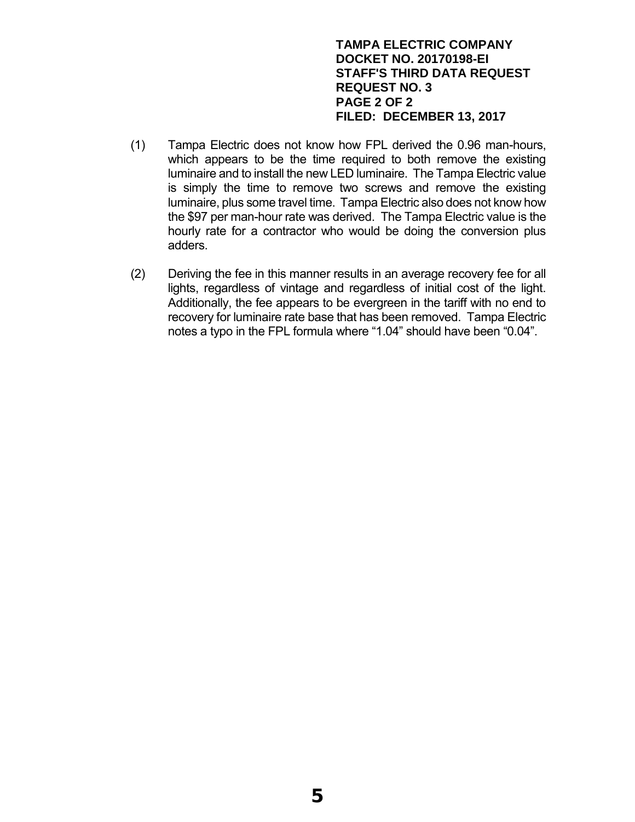# **TAMPA ELECTRIC COMPANY DOCKET NO. 20170198-EI STAFF'S THIRD DATA REQUEST REQUEST NO. 3 PAGE 2 OF 2 FILED: DECEMBER 13, 2017**

- (1) Tampa Electric does not know how FPL derived the 0.96 man-hours, which appears to be the time required to both remove the existing luminaire and to install the new LED luminaire. The Tampa Electric value is simply the time to remove two screws and remove the existing luminaire, plus some travel time. Tampa Electric also does not know how the \$97 per man-hour rate was derived. The Tampa Electric value is the hourly rate for a contractor who would be doing the conversion plus adders.
- (2) Deriving the fee in this manner results in an average recovery fee for all lights, regardless of vintage and regardless of initial cost of the light. Additionally, the fee appears to be evergreen in the tariff with no end to recovery for luminaire rate base that has been removed. Tampa Electric notes a typo in the FPL formula where "1.04" should have been "0.04".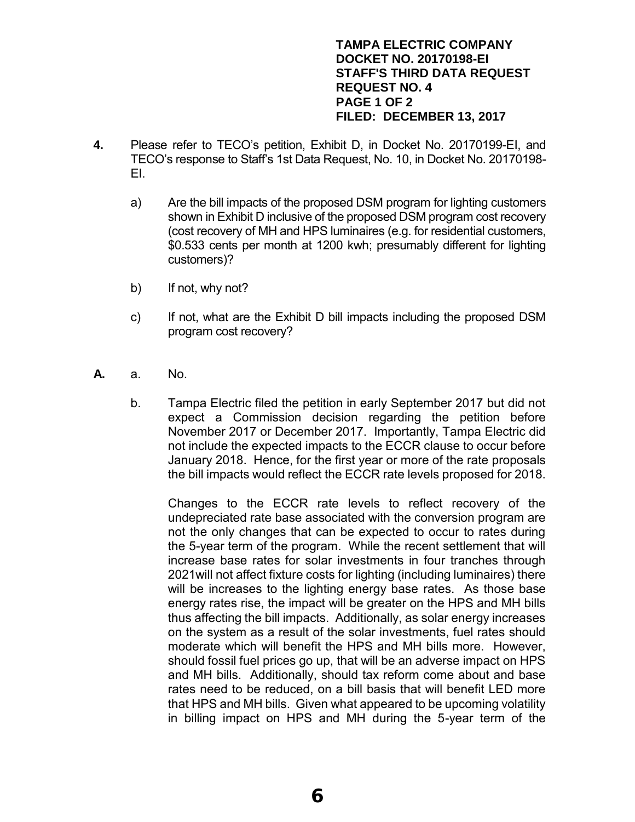# **TAMPA ELECTRIC COMPANY DOCKET NO. 20170198-EI STAFF'S THIRD DATA REQUEST REQUEST NO. 4 PAGE 1 OF 2 FILED: DECEMBER 13, 2017**

- **4.** Please refer to TECO's petition, Exhibit D, in Docket No. 20170199-EI, and TECO's response to Staff's 1st Data Request, No. 10, in Docket No. 20170198- EI.
	- a) Are the bill impacts of the proposed DSM program for lighting customers shown in Exhibit D inclusive of the proposed DSM program cost recovery (cost recovery of MH and HPS luminaires (e.g. for residential customers, \$0.533 cents per month at 1200 kwh; presumably different for lighting customers)?
	- b) If not, why not?
	- c) If not, what are the Exhibit D bill impacts including the proposed DSM program cost recovery?
- **A.** a. No.
	- b. Tampa Electric filed the petition in early September 2017 but did not expect a Commission decision regarding the petition before November 2017 or December 2017. Importantly, Tampa Electric did not include the expected impacts to the ECCR clause to occur before January 2018. Hence, for the first year or more of the rate proposals the bill impacts would reflect the ECCR rate levels proposed for 2018.

Changes to the ECCR rate levels to reflect recovery of the undepreciated rate base associated with the conversion program are not the only changes that can be expected to occur to rates during the 5-year term of the program. While the recent settlement that will increase base rates for solar investments in four tranches through 2021will not affect fixture costs for lighting (including luminaires) there will be increases to the lighting energy base rates. As those base energy rates rise, the impact will be greater on the HPS and MH bills thus affecting the bill impacts. Additionally, as solar energy increases on the system as a result of the solar investments, fuel rates should moderate which will benefit the HPS and MH bills more. However, should fossil fuel prices go up, that will be an adverse impact on HPS and MH bills. Additionally, should tax reform come about and base rates need to be reduced, on a bill basis that will benefit LED more that HPS and MH bills. Given what appeared to be upcoming volatility in billing impact on HPS and MH during the 5-year term of the